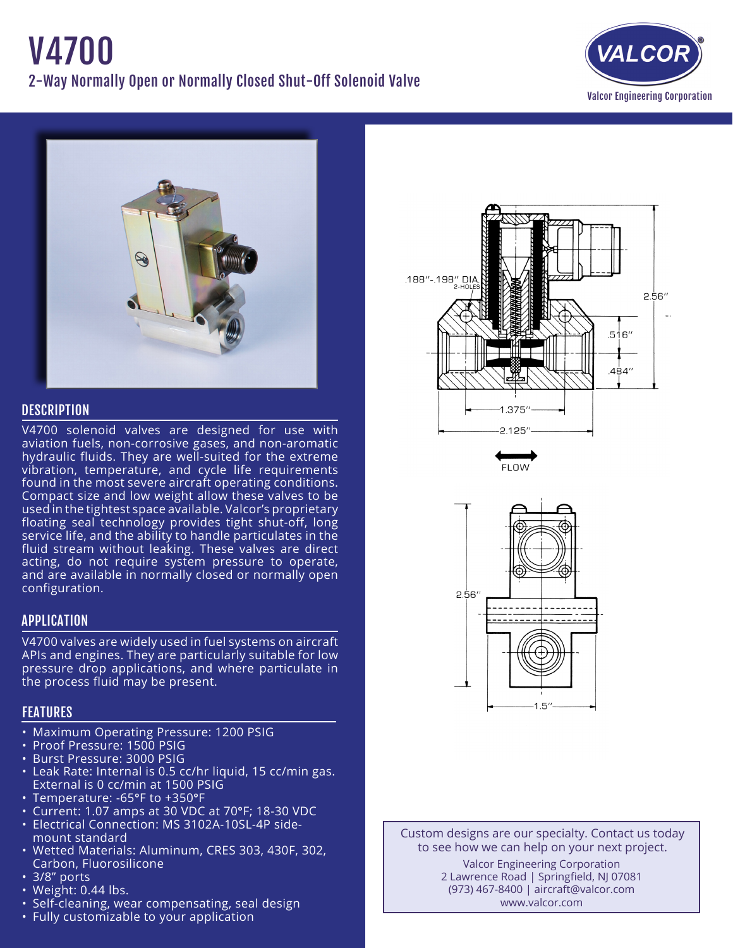



## **DESCRIPTION**

V4700 solenoid valves are designed for use with aviation fuels, non-corrosive gases, and non-aromatic hydraulic fluids. They are well-suited for the extreme vibration, temperature, and cycle life requirements found in the most severe aircraft operating conditions. Compact size and low weight allow these valves to be used in the tightest space available. Valcor's proprietary floating seal technology provides tight shut-off, long service life, and the ability to handle particulates in the fluid stream without leaking. These valves are direct acting, do not require system pressure to operate, and are available in normally closed or normally open configuration.

### APPLICATION

V4700 valves are widely used in fuel systems on aircraft APIs and engines. They are particularly suitable for low pressure drop applications, and where particulate in the process fluid may be present.

# FEATURES

- Maximum Operating Pressure: 1200 PSIG
- Proof Pressure: 1500 PSIG
- Burst Pressure: 3000 PSIG
- Leak Rate: Internal is 0.5 cc/hr liquid, 15 cc/min gas. External is 0 cc/min at 1500 PSIG
- Temperature: -65°F to +350°F
- Current: 1.07 amps at 30 VDC at 70°F; 18-30 VDC
- Electrical Connection: MS 3102A-10SL-4P side- mount standard
- • Wetted Materials: Aluminum, CRES 303, 430F, 302, Carbon, Fluorosilicone
- • 3/8" ports
- $\cdot$  Weight: 0.44 lbs.
- Self-cleaning, wear compensating, seal design
- Fully customizable to your application







Custom designs are our specialty. Contact us today to see how we can help on your next project. Valcor Engineering Corporation 2 Lawrence Road | Springfield, NJ 07081 (973) 467-8400 | aircraft@valcor.com www.valcor.com